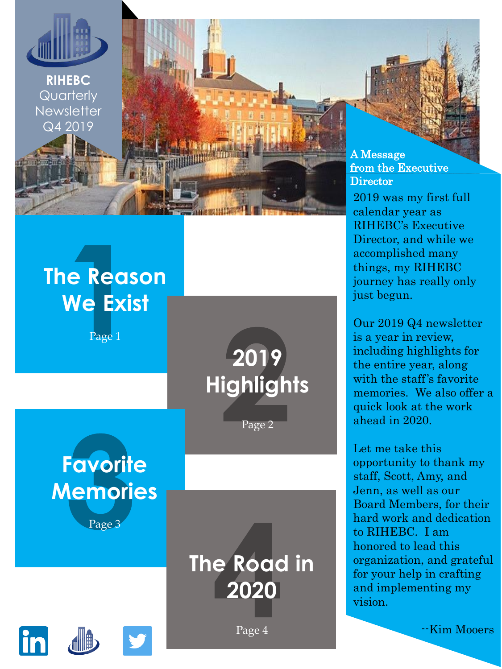

**RIHEBC Quarterly Newsletter** Q4 2019

#### **The Reason We Exist**

Page 1

**2019 Highlights**

Page 2

**Favorite Memories** Page 3

> **The Road in 2020**





A Message from the Executive **Director** 

2019 was my first full calendar year as RIHEBC's Executive Director, and while we accomplished many things, my RIHEBC journey has really only just begun.

Our 2019 Q4 newsletter is a year in review, including highlights for the entire year, along with the staff's favorite memories. We also offer a quick look at the work ahead in 2020.

Let me take this opportunity to thank my staff, Scott, Amy, and Jenn, as well as our Board Members, for their hard work and dedication to RIHEBC. I am honored to lead this organization, and grateful for your help in crafting and implementing my vision.

--Kim Mooers

Page 4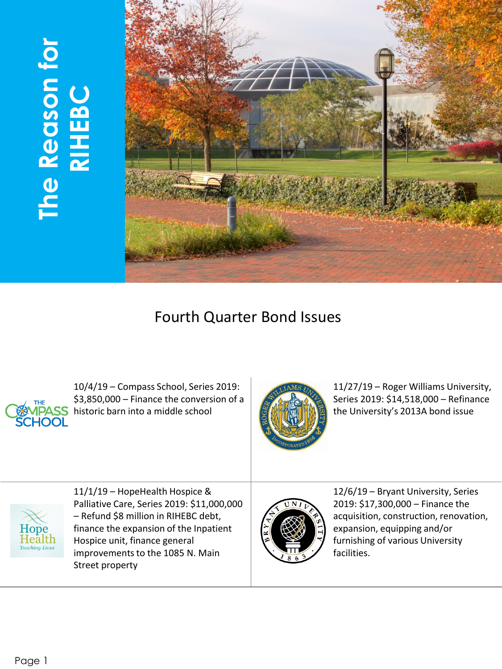# **The Reason for The Reason for<br>RIHEBC**



#### Fourth Quarter Bond Issues



10/4/19 – Compass School, Series 2019: \$3,850,000 – Finance the conversion of a **ASS** historic barn into a middle school



11/27/19 – Roger Williams University, Series 2019: \$14,518,000 – Refinance the University's 2013A bond issue



11/1/19 – HopeHealth Hospice & Palliative Care, Series 2019: \$11,000,000 – Refund \$8 million in RIHEBC debt, finance the expansion of the Inpatient Hospice unit, finance general improvements to the 1085 N. Main Street property



12/6/19 – Bryant University, Series 2019: \$17,300,000 – Finance the acquisition, construction, renovation, expansion, equipping and/or furnishing of various University facilities.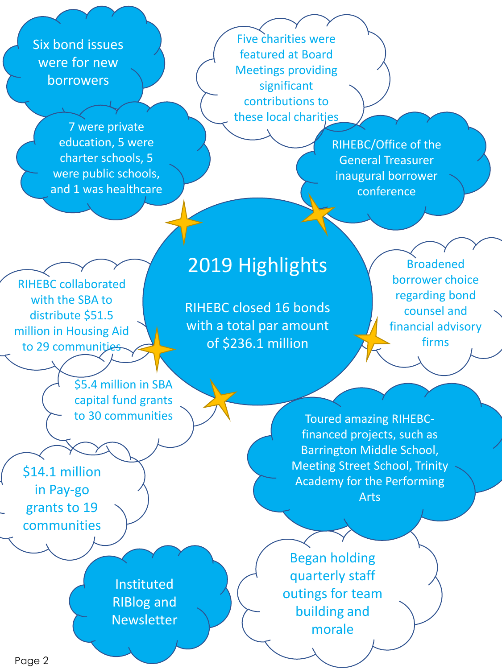Six bond issues were for new borrowers

RIHEBC collaborated with the SBA to distribute \$51.5 million in Housing Aid to 29 communities

7 were private education, 5 were charter schools, 5 were public schools, and 1 was healthcare

Five charities were featured at Board Meetings providing significant contributions to these local charities

> RIHEBC/Office of the General Treasurer inaugural borrower conference

#### 2019 Highlights

RIHEBC closed 16 bonds with a total par amount of \$236.1 million

Broadened borrower choice regarding bond counsel and financial advisory firms

\$5.4 million in SBA capital fund grants to 30 communities

\$14.1 million in Pay-go grants to 19 communities

Toured amazing RIHEBCfinanced projects, such as Barrington Middle School, Meeting Street School, Trinity Academy for the Performing Arts

Instituted RIBlog and Newsletter

Began holding quarterly staff outings for team building and morale

Page 2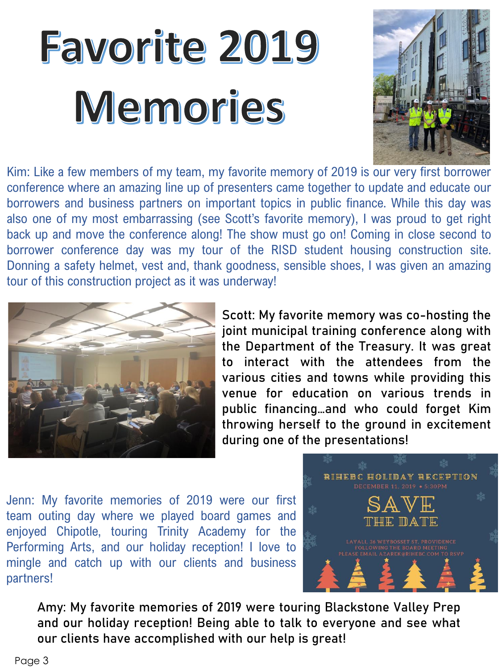### **Favorite 2019** Memories



Kim: Like a few members of my team, my favorite memory of 2019 is our very first borrower conference where an amazing line up of presenters came together to update and educate our borrowers and business partners on important topics in public finance. While this day was also one of my most embarrassing (see Scott's favorite memory), I was proud to get right back up and move the conference along! The show must go on! Coming in close second to borrower conference day was my tour of the RISD student housing construction site. Donning a safety helmet, vest and, thank goodness, sensible shoes, I was given an amazing tour of this construction project as it was underway!



Scott: My favorite memory was co-hosting the joint municipal training conference along with the Department of the Treasury. It was great to interact with the attendees from the various cities and towns while providing this venue for education on various trends in public financing…and who could forget Kim throwing herself to the ground in excitement during one of the presentations!

Jenn: My favorite memories of 2019 were our first team outing day where we played board games and enjoyed Chipotle, touring Trinity Academy for the Performing Arts, and our holiday reception! I love to mingle and catch up with our clients and business partners!



Amy: My favorite memories of 2019 were touring Blackstone Valley Prep and our holiday reception! Being able to talk to everyone and see what our clients have accomplished with our help is great!